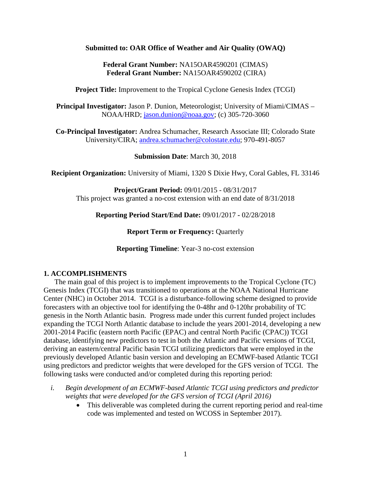#### **Submitted to: OAR Office of Weather and Air Quality (OWAQ)**

### **Federal Grant Number:** NA15OAR4590201 (CIMAS) **Federal Grant Number:** NA15OAR4590202 (CIRA)

**Project Title:** Improvement to the Tropical Cyclone Genesis Index (TCGI)

**Principal Investigator:** Jason P. Dunion, Meteorologist; University of Miami/CIMAS – NOAA/HRD; [jason.dunion@noaa.gov;](mailto:jason.dunion@noaa.gov) (c) 305-720-3060

**Co-Principal Investigator:** Andrea Schumacher, Research Associate III; Colorado State University/CIRA; [andrea.schumacher@colostate.edu;](mailto:andrea.schumacher@colostate.edu) 970-491-8057

**Submission Date**: March 30, 2018

**Recipient Organization:** University of Miami, 1320 S Dixie Hwy, Coral Gables, FL 33146

**Project/Grant Period:** 09/01/2015 - 08/31/2017 This project was granted a no-cost extension with an end date of 8/31/2018

**Reporting Period Start/End Date:** 09/01/2017 **-** 02/28/2018

**Report Term or Frequency: Quarterly** 

**Reporting Timeline**: Year-3 no-cost extension

#### **1. ACCOMPLISHMENTS**

The main goal of this project is to implement improvements to the Tropical Cyclone (TC) Genesis Index (TCGI) that was transitioned to operations at the NOAA National Hurricane Center (NHC) in October 2014. TCGI is a disturbance-following scheme designed to provide forecasters with an objective tool for identifying the 0-48hr and 0-120hr probability of TC genesis in the North Atlantic basin. Progress made under this current funded project includes expanding the TCGI North Atlantic database to include the years 2001-2014, developing a new 2001-2014 Pacific (eastern north Pacific (EPAC) and central North Pacific (CPAC)) TCGI database, identifying new predictors to test in both the Atlantic and Pacific versions of TCGI, deriving an eastern/central Pacific basin TCGI utilizing predictors that were employed in the previously developed Atlantic basin version and developing an ECMWF-based Atlantic TCGI using predictors and predictor weights that were developed for the GFS version of TCGI. The following tasks were conducted and/or completed during this reporting period:

- *i. Begin development of an ECMWF-based Atlantic TCGI using predictors and predictor weights that were developed for the GFS version of TCGI (April 2016)*
	- This deliverable was completed during the current reporting period and real-time code was implemented and tested on WCOSS in September 2017).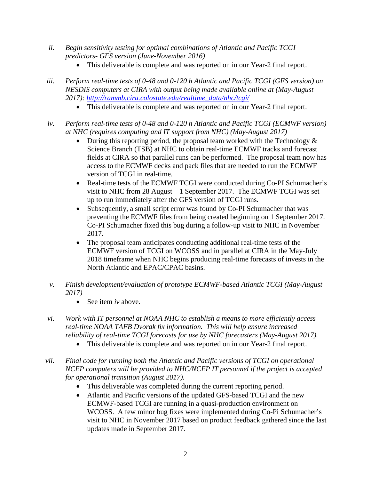- *ii. Begin sensitivity testing for optimal combinations of Atlantic and Pacific TCGI predictors- GFS version (June-November 2016)* 
	- This deliverable is complete and was reported on in our Year-2 final report.
- *iii. Perform real-time tests of 0-48 and 0-120 h Atlantic and Pacific TCGI (GFS version) on NESDIS computers at CIRA with output being made available online at (May-August 2017): [http://rammb.cira.colostate.edu/realtime\\_data/nhc/tcgi/](http://rammb.cira.colostate.edu/realtime_data/nhc/tcgi/)*
	- This deliverable is complete and was reported on in our Year-2 final report.
- *iv. Perform real-time tests of 0-48 and 0-120 h Atlantic and Pacific TCGI (ECMWF version) at NHC (requires computing and IT support from NHC) (May-August 2017)*
	- During this reporting period, the proposal team worked with the Technology  $\&$ Science Branch (TSB) at NHC to obtain real-time ECMWF tracks and forecast fields at CIRA so that parallel runs can be performed. The proposal team now has access to the ECMWF decks and pack files that are needed to run the ECMWF version of TCGI in real-time.
	- Real-time tests of the ECMWF TCGI were conducted during Co-PI Schumacher's visit to NHC from 28 August – 1 September 2017. The ECMWF TCGI was set up to run immediately after the GFS version of TCGI runs.
	- Subsequently, a small script error was found by Co-PI Schumacher that was preventing the ECMWF files from being created beginning on 1 September 2017. Co-PI Schumacher fixed this bug during a follow-up visit to NHC in November 2017.
	- The proposal team anticipates conducting additional real-time tests of the ECMWF version of TCGI on WCOSS and in parallel at CIRA in the May-July 2018 timeframe when NHC begins producing real-time forecasts of invests in the North Atlantic and EPAC/CPAC basins.
- *v. Finish development/evaluation of prototype ECMWF-based Atlantic TCGI (May-August 2017)*
	- See item *iv* above.
- *vi. Work with IT personnel at NOAA NHC to establish a means to more efficiently access real-time NOAA TAFB Dvorak fix information. This will help ensure increased reliability of real-time TCGI forecasts for use by NHC forecasters (May-August 2017).* 
	- This deliverable is complete and was reported on in our Year-2 final report.
- *vii. Final code for running both the Atlantic and Pacific versions of TCGI on operational NCEP computers will be provided to NHC/NCEP IT personnel if the project is accepted for operational transition (August 2017).*
	- This deliverable was completed during the current reporting period.
	- Atlantic and Pacific versions of the updated GFS-based TCGI and the new ECMWF-based TCGI are running in a quasi-production environment on WCOSS. A few minor bug fixes were implemented during Co-Pi Schumacher's visit to NHC in November 2017 based on product feedback gathered since the last updates made in September 2017.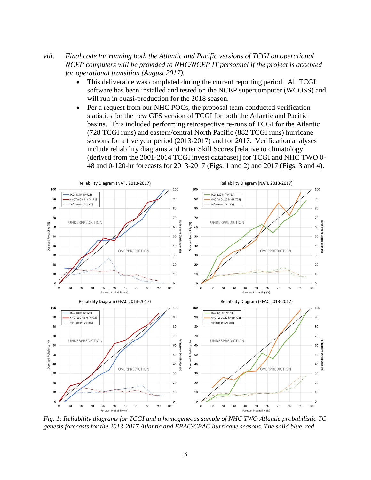- *viii. Final code for running both the Atlantic and Pacific versions of TCGI on operational NCEP computers will be provided to NHC/NCEP IT personnel if the project is accepted for operational transition (August 2017).*
	- This deliverable was completed during the current reporting period. All TCGI software has been installed and tested on the NCEP supercomputer (WCOSS) and will run in quasi-production for the 2018 season.
	- Per a request from our NHC POCs, the proposal team conducted verification statistics for the new GFS version of TCGI for both the Atlantic and Pacific basins. This included performing retrospective re-runs of TCGI for the Atlantic (728 TCGI runs) and eastern/central North Pacific (882 TCGI runs) hurricane seasons for a five year period (2013-2017) and for 2017. Verification analyses include reliability diagrams and Brier Skill Scores [relative to climatology (derived from the 2001-2014 TCGI invest database)] for TCGI and NHC TWO 0- 48 and 0-120-hr forecasts for 2013-2017 (Figs. 1 and 2) and 2017 (Figs. 3 and 4).



*Fig. 1: Reliability diagrams for TCGI and a homogeneous sample of NHC TWO Atlantic probabilistic TC genesis forecasts for the 2013-2017 Atlantic and EPAC/CPAC hurricane seasons. The solid blue, red,*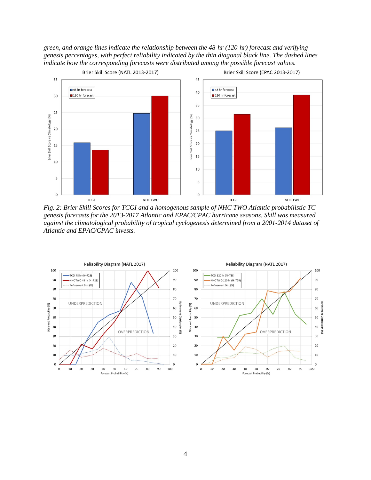*green, and orange lines indicate the relationship between the 48-hr (120-hr) forecast and verifying genesis percentages, with perfect reliability indicated by the thin diagonal black line. The dashed lines indicate how the corresponding forecasts were distributed among the possible forecast values.*



*Fig. 2: Brier Skill Scores for TCGI and a homogenous sample of NHC TWO Atlantic probabilistic TC genesis forecasts for the 2013-2017 Atlantic and EPAC/CPAC hurricane seasons. Skill was measured against the climatological probability of tropical cyclogenesis determined from a 2001-2014 dataset of Atlantic and EPAC/CPAC invests.*

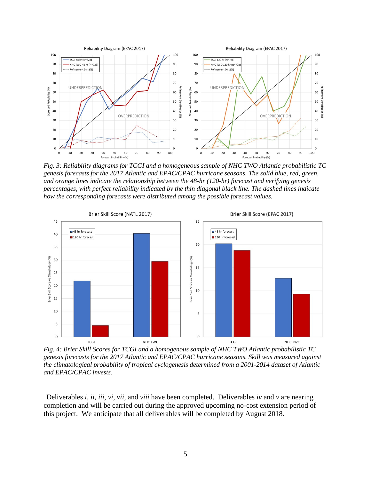

*Fig. 3: Reliability diagrams for TCGI and a homogeneous sample of NHC TWO Atlantic probabilistic TC genesis forecasts for the 2017 Atlantic and EPAC/CPAC hurricane seasons. The solid blue, red, green, and orange lines indicate the relationship between the 48-hr (120-hr) forecast and verifying genesis percentages, with perfect reliability indicated by the thin diagonal black line. The dashed lines indicate how the corresponding forecasts were distributed among the possible forecast values.*



*Fig. 4: Brier Skill Scores for TCGI and a homogenous sample of NHC TWO Atlantic probabilistic TC genesis forecasts for the 2017 Atlantic and EPAC/CPAC hurricane seasons. Skill was measured against the climatological probability of tropical cyclogenesis determined from a 2001-2014 dataset of Atlantic and EPAC/CPAC invests.*

Deliverables *i*, *ii*, *iii*, *vi, vii,* and *viii* have been completed. Deliverables *iv* and *v* are nearing completion and will be carried out during the approved upcoming no-cost extension period of this project. We anticipate that all deliverables will be completed by August 2018.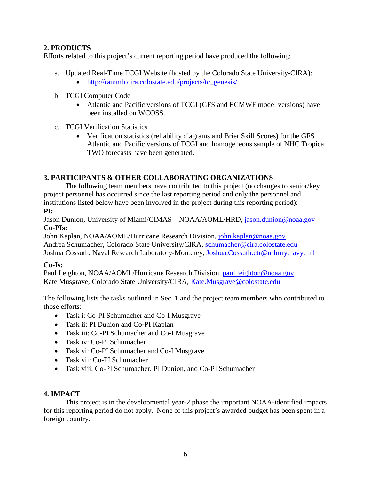# **2. PRODUCTS**

Efforts related to this project's current reporting period have produced the following:

- a. Updated Real-Time TCGI Website (hosted by the Colorado State University-CIRA):
	- [http://rammb.cira.colostate.edu/projects/tc\\_genesis/](http://rammb.cira.colostate.edu/projects/tc_genesis/)
- b. TCGI Computer Code
	- Atlantic and Pacific versions of TCGI (GFS and ECMWF model versions) have been installed on WCOSS.
- c. TCGI Verification Statistics
	- Verification statistics (reliability diagrams and Brier Skill Scores) for the GFS Atlantic and Pacific versions of TCGI and homogeneous sample of NHC Tropical TWO forecasts have been generated.

# **3. PARTICIPANTS & OTHER COLLABORATING ORGANIZATIONS**

The following team members have contributed to this project (no changes to senior/key project personnel has occurred since the last reporting period and only the personnel and institutions listed below have been involved in the project during this reporting period): **PI:**

Jason Dunion, University of Miami/CIMAS – NOAA/AOML/HRD, [jason.dunion@noaa.gov](mailto:jason.dunion@noaa.gov) **Co-PIs:**

John Kaplan, NOAA/AOML/Hurricane Research Division, [john.kaplan@noaa.gov](mailto:john.kaplan@noaa.gov) Andrea Schumacher, Colorado State University/CIRA, [schumacher@cira.colostate.edu](mailto:schumacher@cira.colostate.edu) Joshua Cossuth, Naval Research Laboratory-Monterey, [Joshua.Cossuth.ctr@nrlmry.navy.mil](mailto:Joshua.Cossuth.ctr@nrlmry.navy.mil)

# **Co-Is:**

Paul Leighton, NOAA/AOML/Hurricane Research Division, [paul.leighton@noaa.gov](mailto:paul.leighton@noaa.gov) Kate Musgrave, Colorado State University/CIRA, [Kate.Musgrave@colostate.edu](mailto:Kate.Musgrave@colostate.edu)

The following lists the tasks outlined in Sec. 1 and the project team members who contributed to those efforts:

- Task i: Co-PI Schumacher and Co-I Musgrave
- Task ii: PI Dunion and Co-PI Kaplan
- Task iii: Co-PI Schumacher and Co-I Musgrave
- Task iv: Co-PI Schumacher
- Task vi: Co-PI Schumacher and Co-I Musgrave
- Task vii: Co-PI Schumacher
- Task viii: Co-PI Schumacher, PI Dunion, and Co-PI Schumacher

# **4. IMPACT**

This project is in the developmental year-2 phase the important NOAA-identified impacts for this reporting period do not apply. None of this project's awarded budget has been spent in a foreign country.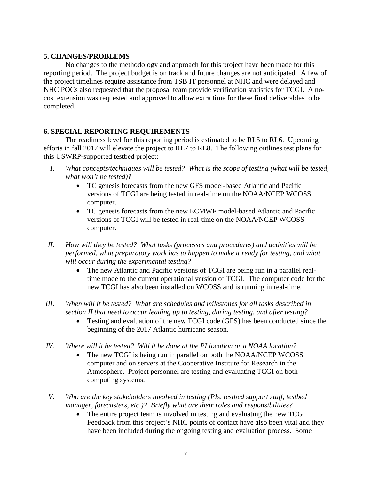#### **5. CHANGES/PROBLEMS**

No changes to the methodology and approach for this project have been made for this reporting period. The project budget is on track and future changes are not anticipated. A few of the project timelines require assistance from TSB IT personnel at NHC and were delayed and NHC POCs also requested that the proposal team provide verification statistics for TCGI. A nocost extension was requested and approved to allow extra time for these final deliverables to be completed.

### **6. SPECIAL REPORTING REQUIREMENTS**

The readiness level for this reporting period is estimated to be RL5 to RL6. Upcoming efforts in fall 2017 will elevate the project to RL7 to RL8. The following outlines test plans for this USWRP-supported testbed project:

- *I. What concepts/techniques will be tested? What is the scope of testing (what will be tested, what won't be tested)?*
	- TC genesis forecasts from the new GFS model-based Atlantic and Pacific versions of TCGI are being tested in real-time on the NOAA/NCEP WCOSS computer.
	- TC genesis forecasts from the new ECMWF model-based Atlantic and Pacific versions of TCGI will be tested in real-time on the NOAA/NCEP WCOSS computer.
- *II. How will they be tested? What tasks (processes and procedures) and activities will be performed, what preparatory work has to happen to make it ready for testing, and what will occur during the experimental testing?*
	- The new Atlantic and Pacific versions of TCGI are being run in a parallel realtime mode to the current operational version of TCGI. The computer code for the new TCGI has also been installed on WCOSS and is running in real-time.
- *III. When will it be tested? What are schedules and milestones for all tasks described in section II that need to occur leading up to testing, during testing, and after testing?*
	- Testing and evaluation of the new TCGI code (GFS) has been conducted since the beginning of the 2017 Atlantic hurricane season.
- *IV. Where will it be tested? Will it be done at the PI location or a NOAA location?*
	- The new TCGI is being run in parallel on both the NOAA/NCEP WCOSS computer and on servers at the Cooperative Institute for Research in the Atmosphere. Project personnel are testing and evaluating TCGI on both computing systems.
- *V. Who are the key stakeholders involved in testing (PIs, testbed support staff, testbed manager, forecasters, etc.)? Briefly what are their roles and responsibilities?*
	- The entire project team is involved in testing and evaluating the new TCGI. Feedback from this project's NHC points of contact have also been vital and they have been included during the ongoing testing and evaluation process. Some